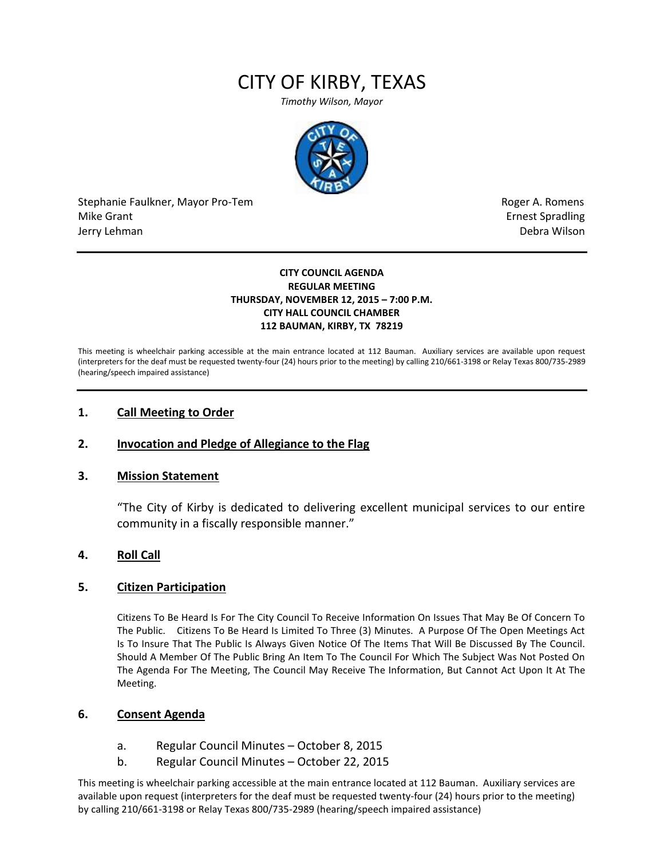# CITY OF KIRBY, TEXAS

*Timothy Wilson, Mayor*



Stephanie Faulkner, Mayor Pro-Tem **Roger A. Romens** and The Roger A. Romens and The Roger A. Romens Mike Grant **Example 2018** Spradling School and Spradling School and Spradling School and Spradling School and Spradling School and Spradling School and Spradling School and Spradling School and Spradling School and Spradli Jerry Lehman Debra Wilson (2008) and the state of the state of the state of the state of the state of the state of the state of the state of the state of the state of the state of the state of the state of the state of the

#### **CITY COUNCIL AGENDA REGULAR MEETING THURSDAY, NOVEMBER 12, 2015 – 7:00 P.M. CITY HALL COUNCIL CHAMBER 112 BAUMAN, KIRBY, TX 78219**

This meeting is wheelchair parking accessible at the main entrance located at 112 Bauman. Auxiliary services are available upon request (interpreters for the deaf must be requested twenty-four (24) hours prior to the meeting) by calling 210/661-3198 or Relay Texas 800/735-2989 (hearing/speech impaired assistance)

## **1. Call Meeting to Order**

## **2. Invocation and Pledge of Allegiance to the Flag**

## **3. Mission Statement**

"The City of Kirby is dedicated to delivering excellent municipal services to our entire community in a fiscally responsible manner."

## **4. Roll Call**

## **5. Citizen Participation**

Citizens To Be Heard Is For The City Council To Receive Information On Issues That May Be Of Concern To The Public. Citizens To Be Heard Is Limited To Three (3) Minutes. A Purpose Of The Open Meetings Act Is To Insure That The Public Is Always Given Notice Of The Items That Will Be Discussed By The Council. Should A Member Of The Public Bring An Item To The Council For Which The Subject Was Not Posted On The Agenda For The Meeting, The Council May Receive The Information, But Cannot Act Upon It At The Meeting.

## **6. Consent Agenda**

- a. Regular Council Minutes October 8, 2015
- b. Regular Council Minutes October 22, 2015

This meeting is wheelchair parking accessible at the main entrance located at 112 Bauman. Auxiliary services are available upon request (interpreters for the deaf must be requested twenty-four (24) hours prior to the meeting) by calling 210/661-3198 or Relay Texas 800/735-2989 (hearing/speech impaired assistance)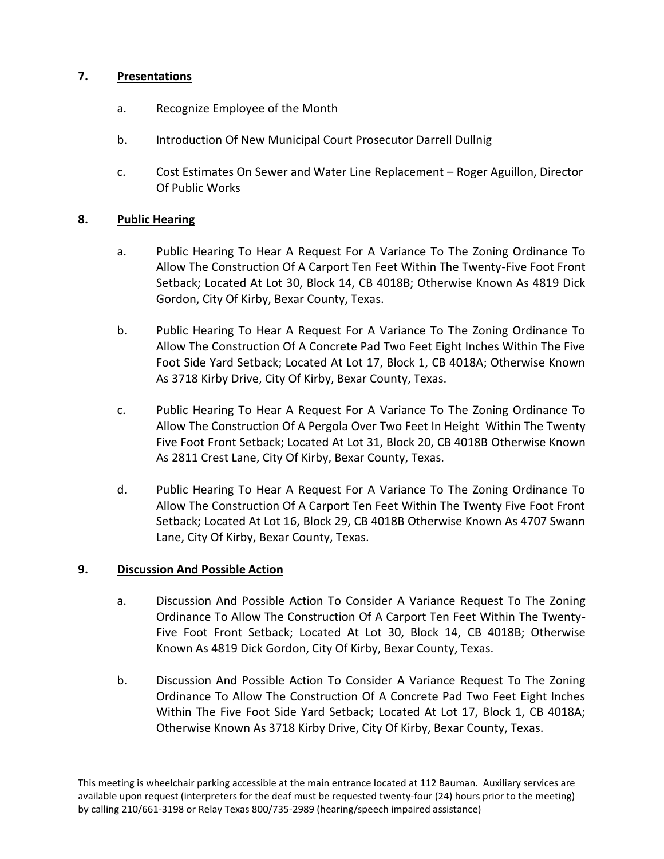# **7. Presentations**

- a. Recognize Employee of the Month
- b. Introduction Of New Municipal Court Prosecutor Darrell Dullnig
- c. Cost Estimates On Sewer and Water Line Replacement Roger Aguillon, Director Of Public Works

# **8. Public Hearing**

- a. Public Hearing To Hear A Request For A Variance To The Zoning Ordinance To Allow The Construction Of A Carport Ten Feet Within The Twenty-Five Foot Front Setback; Located At Lot 30, Block 14, CB 4018B; Otherwise Known As 4819 Dick Gordon, City Of Kirby, Bexar County, Texas.
- b. Public Hearing To Hear A Request For A Variance To The Zoning Ordinance To Allow The Construction Of A Concrete Pad Two Feet Eight Inches Within The Five Foot Side Yard Setback; Located At Lot 17, Block 1, CB 4018A; Otherwise Known As 3718 Kirby Drive, City Of Kirby, Bexar County, Texas.
- c. Public Hearing To Hear A Request For A Variance To The Zoning Ordinance To Allow The Construction Of A Pergola Over Two Feet In Height Within The Twenty Five Foot Front Setback; Located At Lot 31, Block 20, CB 4018B Otherwise Known As 2811 Crest Lane, City Of Kirby, Bexar County, Texas.
- d. Public Hearing To Hear A Request For A Variance To The Zoning Ordinance To Allow The Construction Of A Carport Ten Feet Within The Twenty Five Foot Front Setback; Located At Lot 16, Block 29, CB 4018B Otherwise Known As 4707 Swann Lane, City Of Kirby, Bexar County, Texas.

# **9. Discussion And Possible Action**

- a. Discussion And Possible Action To Consider A Variance Request To The Zoning Ordinance To Allow The Construction Of A Carport Ten Feet Within The Twenty-Five Foot Front Setback; Located At Lot 30, Block 14, CB 4018B; Otherwise Known As 4819 Dick Gordon, City Of Kirby, Bexar County, Texas.
- b. Discussion And Possible Action To Consider A Variance Request To The Zoning Ordinance To Allow The Construction Of A Concrete Pad Two Feet Eight Inches Within The Five Foot Side Yard Setback; Located At Lot 17, Block 1, CB 4018A; Otherwise Known As 3718 Kirby Drive, City Of Kirby, Bexar County, Texas.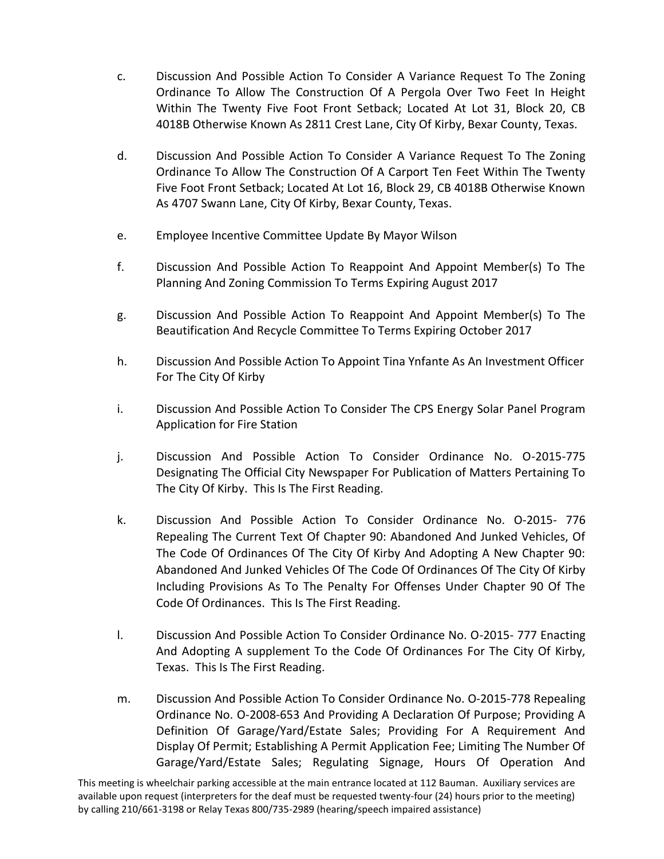- c. Discussion And Possible Action To Consider A Variance Request To The Zoning Ordinance To Allow The Construction Of A Pergola Over Two Feet In Height Within The Twenty Five Foot Front Setback; Located At Lot 31, Block 20, CB 4018B Otherwise Known As 2811 Crest Lane, City Of Kirby, Bexar County, Texas.
- d. Discussion And Possible Action To Consider A Variance Request To The Zoning Ordinance To Allow The Construction Of A Carport Ten Feet Within The Twenty Five Foot Front Setback; Located At Lot 16, Block 29, CB 4018B Otherwise Known As 4707 Swann Lane, City Of Kirby, Bexar County, Texas.
- e. Employee Incentive Committee Update By Mayor Wilson
- f. Discussion And Possible Action To Reappoint And Appoint Member(s) To The Planning And Zoning Commission To Terms Expiring August 2017
- g. Discussion And Possible Action To Reappoint And Appoint Member(s) To The Beautification And Recycle Committee To Terms Expiring October 2017
- h. Discussion And Possible Action To Appoint Tina Ynfante As An Investment Officer For The City Of Kirby
- i. Discussion And Possible Action To Consider The CPS Energy Solar Panel Program Application for Fire Station
- j. Discussion And Possible Action To Consider Ordinance No. O-2015-775 Designating The Official City Newspaper For Publication of Matters Pertaining To The City Of Kirby. This Is The First Reading.
- k. Discussion And Possible Action To Consider Ordinance No. O-2015- 776 Repealing The Current Text Of Chapter 90: Abandoned And Junked Vehicles, Of The Code Of Ordinances Of The City Of Kirby And Adopting A New Chapter 90: Abandoned And Junked Vehicles Of The Code Of Ordinances Of The City Of Kirby Including Provisions As To The Penalty For Offenses Under Chapter 90 Of The Code Of Ordinances. This Is The First Reading.
- l. Discussion And Possible Action To Consider Ordinance No. O-2015- 777 Enacting And Adopting A supplement To the Code Of Ordinances For The City Of Kirby, Texas. This Is The First Reading.
- m. Discussion And Possible Action To Consider Ordinance No. O-2015-778 Repealing Ordinance No. O-2008-653 And Providing A Declaration Of Purpose; Providing A Definition Of Garage/Yard/Estate Sales; Providing For A Requirement And Display Of Permit; Establishing A Permit Application Fee; Limiting The Number Of Garage/Yard/Estate Sales; Regulating Signage, Hours Of Operation And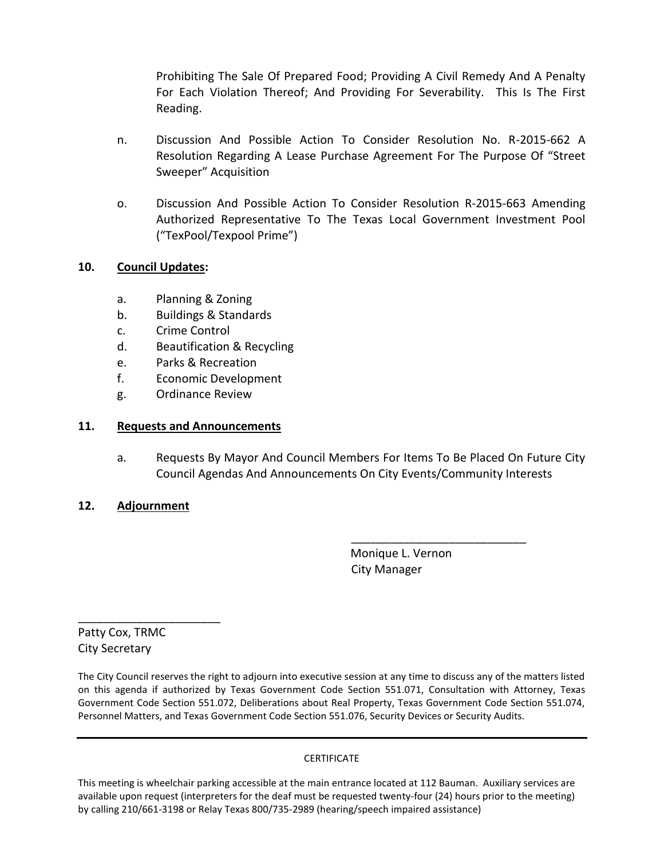Prohibiting The Sale Of Prepared Food; Providing A Civil Remedy And A Penalty For Each Violation Thereof; And Providing For Severability. This Is The First Reading.

- n. Discussion And Possible Action To Consider Resolution No. R-2015-662 A Resolution Regarding A Lease Purchase Agreement For The Purpose Of "Street Sweeper" Acquisition
- o. Discussion And Possible Action To Consider Resolution R-2015-663 Amending Authorized Representative To The Texas Local Government Investment Pool ("TexPool/Texpool Prime")

# **10. Council Updates:**

- a. Planning & Zoning
- b. Buildings & Standards
- c. Crime Control
- d. Beautification & Recycling
- e. Parks & Recreation
- f. Economic Development
- g. Ordinance Review

## **11. Requests and Announcements**

a. Requests By Mayor And Council Members For Items To Be Placed On Future City Council Agendas And Announcements On City Events/Community Interests

## **12. Adjournment**

 Monique L. Vernon City Manager

\_\_\_\_\_\_\_\_\_\_\_\_\_\_\_\_\_\_\_\_\_\_\_\_\_\_\_

Patty Cox, TRMC City Secretary

\_\_\_\_\_\_\_\_\_\_\_\_\_\_\_\_\_\_\_\_\_\_

The City Council reserves the right to adjourn into executive session at any time to discuss any of the matters listed on this agenda if authorized by Texas Government Code Section 551.071, Consultation with Attorney, Texas Government Code Section 551.072, Deliberations about Real Property, Texas Government Code Section 551.074, Personnel Matters, and Texas Government Code Section 551.076, Security Devices or Security Audits.

## CERTIFICATE

This meeting is wheelchair parking accessible at the main entrance located at 112 Bauman. Auxiliary services are available upon request (interpreters for the deaf must be requested twenty-four (24) hours prior to the meeting) by calling 210/661-3198 or Relay Texas 800/735-2989 (hearing/speech impaired assistance)